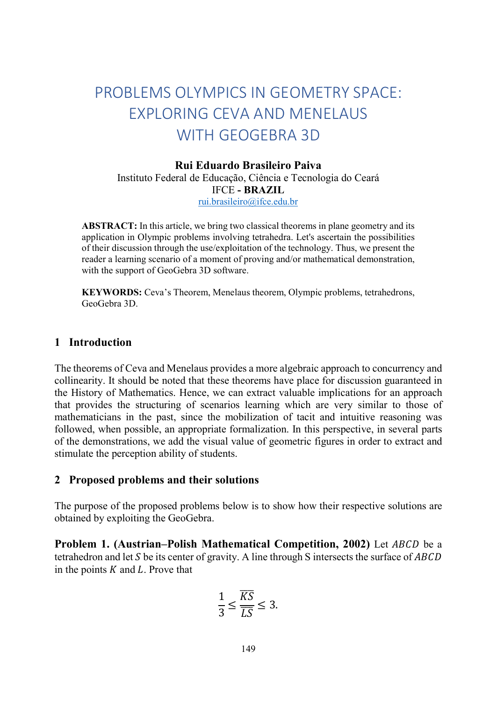# PROBLEMS OLYMPICS IN GEOMETRY SPACE: EXPLORING CEVA AND MENELAUS WITH GEOGEBRA 3D

### Rui Eduardo Brasileiro Paiva

Instituto Federal de Educação, Ciência e Tecnologia do Ceará IFCE - BRAZIL rui.brasileiro@ifce.edu.br

ABSTRACT: In this article, we bring two classical theorems in plane geometry and its application in Olympic problems involving tetrahedra. Let's ascertain the possibilities of their discussion through the use/exploitation of the technology. Thus, we present the reader a learning scenario of a moment of proving and/or mathematical demonstration, with the support of GeoGebra 3D software.

KEYWORDS: Ceva's Theorem, Menelaus theorem, Olympic problems, tetrahedrons, GeoGebra 3D.

## 1 Introduction

The theorems of Ceva and Menelaus provides a more algebraic approach to concurrency and collinearity. It should be noted that these theorems have place for discussion guaranteed in the History of Mathematics. Hence, we can extract valuable implications for an approach that provides the structuring of scenarios learning which are very similar to those of mathematicians in the past, since the mobilization of tacit and intuitive reasoning was followed, when possible, an appropriate formalization. In this perspective, in several parts of the demonstrations, we add the visual value of geometric figures in order to extract and stimulate the perception ability of students.

#### 2 Proposed problems and their solutions

The purpose of the proposed problems below is to show how their respective solutions are obtained by exploiting the GeoGebra.

Problem 1. (Austrian–Polish Mathematical Competition, 2002) Let ABCD be a tetrahedron and let S be its center of gravity. A line through S intersects the surface of  $ABCD$ in the points  $K$  and  $L$ . Prove that

$$
\frac{1}{3} \le \frac{\overline{KS}}{\overline{LS}} \le 3.
$$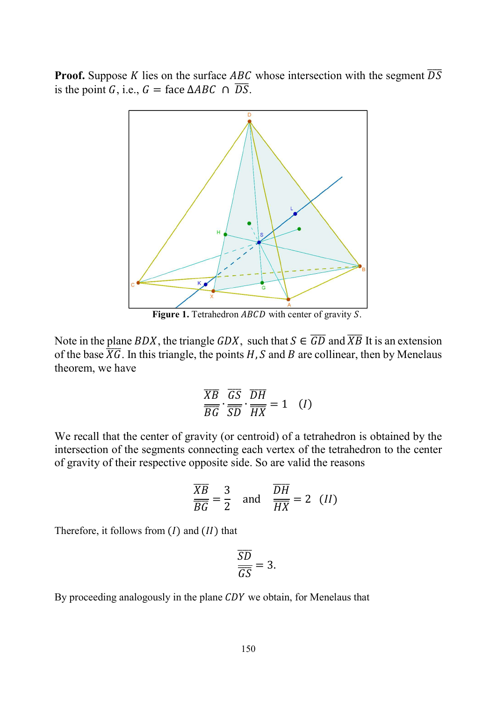**Proof.** Suppose K lies on the surface ABC whose intersection with the segment  $\overline{DS}$ is the point G, i.e.,  $G = \text{face } \triangle ABC \cap \overline{DS}$ .



Figure 1. Tetrahedron ABCD with center of gravity S.

Note in the plane BDX, the triangle GDX, such that  $S \in \overline{GD}$  and  $\overline{XB}$  It is an extension of the base  $\overline{XG}$ . In this triangle, the points H, S and B are collinear, then by Menelaus theorem, we have

$$
\frac{\overline{XB}}{\overline{BG}} \cdot \frac{\overline{GS}}{\overline{SD}} \cdot \frac{\overline{DH}}{\overline{HX}} = 1 \quad (I)
$$

We recall that the center of gravity (or centroid) of a tetrahedron is obtained by the intersection of the segments connecting each vertex of the tetrahedron to the center of gravity of their respective opposite side. So are valid the reasons

$$
\frac{\overline{XB}}{\overline{BG}} = \frac{3}{2} \quad \text{and} \quad \frac{\overline{DH}}{\overline{HX}} = 2 \quad (II)
$$

Therefore, it follows from  $(I)$  and  $(II)$  that

$$
\frac{\overline{SD}}{\overline{GS}} = 3.
$$

By proceeding analogously in the plane  $CDY$  we obtain, for Menelaus that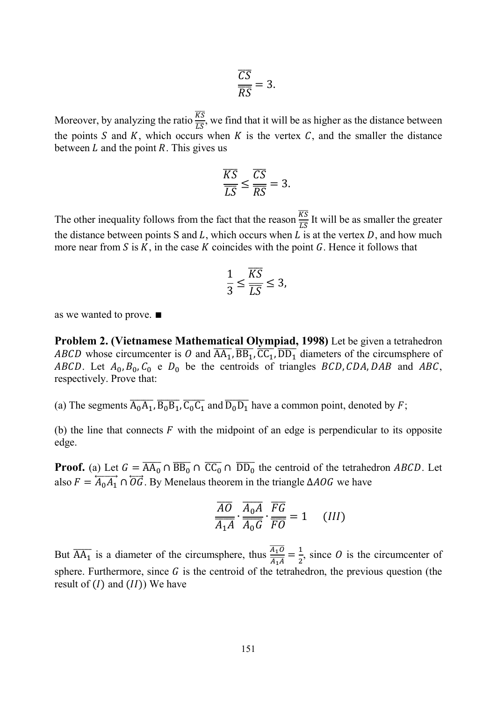$$
\frac{\overline{CS}}{\overline{RS}} = 3.
$$

Moreover, by analyzing the ratio  $\frac{\overline{KS}}{\overline{LS}}$ , we find that it will be as higher as the distance between the points S and K, which occurs when K is the vertex C, and the smaller the distance between  $L$  and the point  $R$ . This gives us

$$
\frac{\overline{KS}}{\overline{LS}} \le \frac{\overline{CS}}{\overline{RS}} = 3.
$$

The other inequality follows from the fact that the reason  $\frac{\overline{KS}}{\overline{LS}}$  It will be as smaller the greater the distance between points S and  $L$ , which occurs when  $L$  is at the vertex  $D$ , and how much more near from  $S$  is  $K$ , in the case  $K$  coincides with the point  $G$ . Hence it follows that

$$
\frac{1}{3} \le \frac{\overline{KS}}{\overline{LS}} \le 3,
$$

as we wanted to prove. ∎

Problem 2. (Vietnamese Mathematical Olympiad, 1998) Let be given a tetrahedron ABCD whose circumcenter is O and  $\overline{AA_1}$ ,  $\overline{BB_1}$ ,  $\overline{CC_1}$ ,  $\overline{DD_1}$  diameters of the circumsphere of ABCD. Let  $A_0$ ,  $B_0$ ,  $C_0$  e  $D_0$  be the centroids of triangles BCD, CDA, DAB and ABC, respectively. Prove that:

(a) The segments  $\overline{A_0A_1}$ ,  $\overline{B_0B_1}$ ,  $\overline{C_0C_1}$  and  $\overline{D_0D_1}$  have a common point, denoted by F;

(b) the line that connects  $\vec{F}$  with the midpoint of an edge is perpendicular to its opposite edge.

**Proof.** (a) Let  $G = \overline{AA_0} \cap \overline{BB_0} \cap \overline{CC_0} \cap \overline{DD_0}$  the centroid of the tetrahedron *ABCD*. Let also  $F = \overleftrightarrow{A_0 A_1} \cap \overleftrightarrow{OG}$ . By Menelaus theorem in the triangle ∆*AOG* we have

$$
\frac{\overline{AO}}{\overline{A_1}\overline{A}} \cdot \frac{\overline{A_0}\overline{A}}{\overline{A_0}\overline{G}} \cdot \frac{\overline{FG}}{\overline{FO}} = 1 \quad (III)
$$

But  $\overline{AA_1}$  is a diameter of the circumsphere, thus  $\frac{\overline{A_1O}}{\overline{A_1A}}$  $\frac{\overline{A_1O}}{\overline{A_1A}} = \frac{1}{2},$  $\frac{1}{2}$ , since *O* is the circumcenter of sphere. Furthermore, since  $G$  is the centroid of the tetrahedron, the previous question (the result of  $(I)$  and  $(II)$ ) We have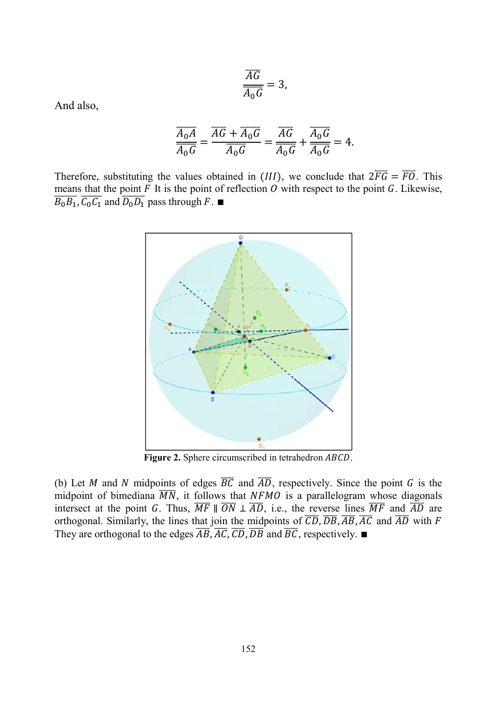$$
\frac{\overline{AG}}{\overline{A_0}\overline{G}}=3,
$$

And also,

$$
\frac{\overline{A_0A}}{\overline{A_0G}} = \frac{\overline{AG} + \overline{A_0G}}{\overline{A_0G}} = \frac{\overline{AG}}{\overline{A_0G}} + \frac{\overline{A_0G}}{\overline{A_0G}} = 4.
$$

Therefore, substituting the values obtained in (III), we conclude that  $2\overline{FG} = \overline{FO}$ . This means that the point  $F$  It is the point of reflection  $O$  with respect to the point  $G$ . Likewise,  $\overline{B_0B_1}$ ,  $\overline{C_0C_1}$  and  $\overline{D_0D_1}$  pass through  $F$ .



Figure 2. Sphere circumscribed in tetrahedron ABCD.

(b) Let M and N midpoints of edges  $\overline{BC}$  and  $\overline{AD}$ , respectively. Since the point G is the midpoint of bimediana  $\overline{MN}$ , it follows that NFMO is a parallelogram whose diagonals intersect at the point G. Thus,  $\overline{MF} \parallel \overline{ON} \perp \overline{AD}$ , i.e., the reverse lines  $\overline{MF}$  and  $\overline{AD}$  are orthogonal. Similarly, the lines that join the midpoints of  $\overline{CD}$ ,  $\overline{DB}$ ,  $\overline{AB}$ ,  $\overline{AC}$  and  $\overline{AD}$  with  $F$ They are orthogonal to the edges  $\overline{AB}$ ,  $\overline{AC}$ ,  $\overline{CD}$ ,  $\overline{DB}$  and  $\overline{BC}$ , respectively. ■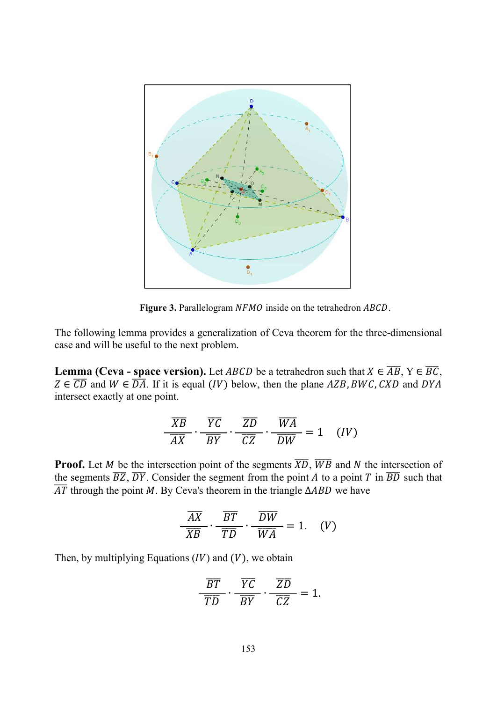

Figure 3. Parallelogram NFMO inside on the tetrahedron ABCD.

The following lemma provides a generalization of Ceva theorem for the three-dimensional case and will be useful to the next problem.

**Lemma (Ceva - space version).** Let ABCD be a tetrahedron such that  $X \in \overline{AB}$ ,  $Y \in \overline{BC}$ ,  $Z \in \overline{CD}$  and  $W \in \overline{DA}$ . If it is equal (IV) below, then the plane AZB, BWC, CXD and DYA intersect exactly at one point.

$$
\frac{\overline{XB}}{\overline{AX}} \cdot \frac{\overline{YC}}{\overline{BY}} \cdot \frac{\overline{ZD}}{\overline{CZ}} \cdot \frac{\overline{WA}}{\overline{DW}} = 1 \quad (IV)
$$

**Proof.** Let *M* be the intersection point of the segments  $\overline{XD}$ ,  $\overline{WB}$  and *N* the intersection of the segments  $\overline{BZ}$ ,  $\overline{DY}$ . Consider the segment from the point A to a point T in  $\overline{BD}$  such that  $\overline{AT}$  through the point M. By Ceva's theorem in the triangle ∆ABD we have

$$
\frac{\overline{AX}}{\overline{XB}} \cdot \frac{\overline{BT}}{\overline{TD}} \cdot \frac{\overline{DW}}{\overline{WA}} = 1. \quad (V)
$$

Then, by multiplying Equations  $(IV)$  and  $(V)$ , we obtain

$$
\frac{\overline{BT}}{\overline{TD}} \cdot \frac{\overline{YC}}{\overline{BY}} \cdot \frac{\overline{ZD}}{\overline{CZ}} = 1.
$$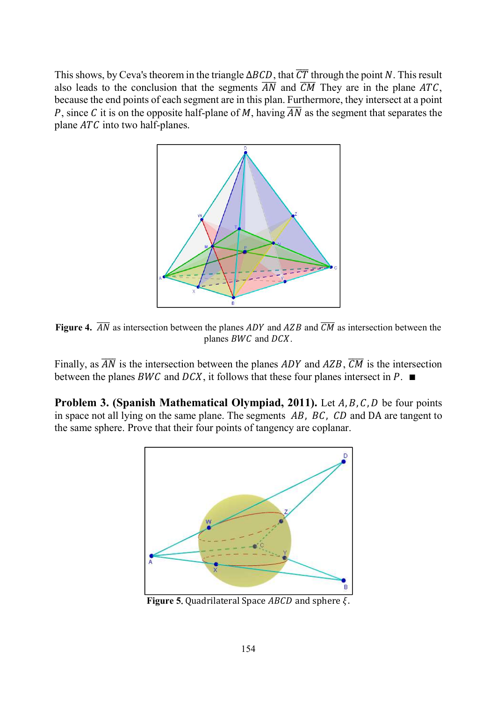This shows, by Ceva's theorem in the triangle  $\Delta BCD$ , that  $\overline{CT}$  through the point N. This result also leads to the conclusion that the segments  $\overline{AN}$  and  $\overline{CM}$  They are in the plane ATC, because the end points of each segment are in this plan. Furthermore, they intersect at a point P, since C it is on the opposite half-plane of M, having  $\overline{AN}$  as the segment that separates the plane  $ATC$  into two half-planes.



Figure 4.  $\overline{AN}$  as intersection between the planes ADY and AZB and  $\overline{CM}$  as intersection between the planes  $BWC$  and  $DCX$ .

Finally, as  $\overline{AN}$  is the intersection between the planes ADY and AZB,  $\overline{CM}$  is the intersection between the planes BWC and DCX, it follows that these four planes intersect in  $P$ .  $\blacksquare$ 

**Problem 3. (Spanish Mathematical Olympiad, 2011).** Let  $A, B, C, D$  be four points in space not all lying on the same plane. The segments  $AB$ ,  $BC$ ,  $CD$  and DA are tangent to the same sphere. Prove that their four points of tangency are coplanar.



Figure 5. Quadrilateral Space  $ABCD$  and sphere  $\xi$ .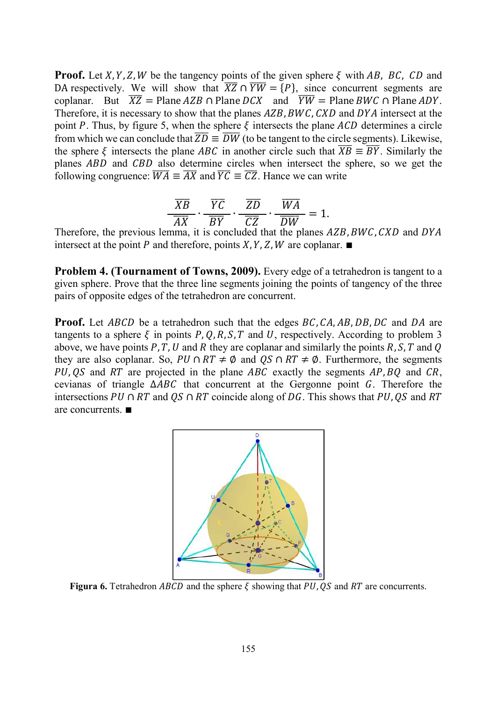**Proof.** Let X, Y, Z, W be the tangency points of the given sphere  $\xi$  with AB, BC, CD and DA respectively. We will show that  $\overline{XZ} \cap \overline{YW} = \overline{P}$ , since concurrent segments are coplanar. But  $\overline{XZ}$  = Plane AZB  $\cap$  Plane DCX and  $\overline{YW}$  = Plane BWC  $\cap$  Plane ADY. Therefore, it is necessary to show that the planes  $AZB, BWC, CXD$  and  $DYA$  intersect at the point P. Thus, by figure 5, when the sphere  $\xi$  intersects the plane ACD determines a circle from which we can conclude that  $\overline{ZD} \equiv \overline{DW}$  (to be tangent to the circle segments). Likewise, the sphere  $\xi$  intersects the plane ABC in another circle such that  $\overline{XB} \equiv \overline{BY}$ . Similarly the planes ABD and CBD also determine circles when intersect the sphere, so we get the following congruence:  $\overline{WA} \equiv \overline{AX}$  and  $\overline{YC} \equiv \overline{CZ}$ . Hance we can write

$$
\frac{\overline{XB}}{\overline{AX}} \cdot \frac{\overline{YC}}{\overline{BY}} \cdot \frac{\overline{ZD}}{\overline{CZ}} \cdot \frac{\overline{WA}}{\overline{DW}} = 1.
$$

Therefore, the previous lemma, it is concluded that the planes AZB, BWC, CXD and DYA intersect at the point P and therefore, points  $X, Y, Z, W$  are coplanar.  $\blacksquare$ 

**Problem 4. (Tournament of Towns, 2009).** Every edge of a tetrahedron is tangent to a given sphere. Prove that the three line segments joining the points of tangency of the three pairs of opposite edges of the tetrahedron are concurrent.

**Proof.** Let ABCD be a tetrahedron such that the edges  $BC, CA, AB, DB, DC$  and  $DA$  are tangents to a sphere  $\xi$  in points P, O, R, S, T and U, respectively. According to problem 3 above, we have points P, T, U and R they are coplanar and similarly the points R, S, T and Q they are also coplanar. So,  $PU \cap RT \neq \emptyset$  and  $OS \cap RT \neq \emptyset$ . Furthermore, the segments PU, QS and RT are projected in the plane ABC exactly the segments  $AP$ , BQ and  $CR$ , cevianas of triangle  $\triangle ABC$  that concurrent at the Gergonne point G. Therefore the intersections  $PU \cap RT$  and  $QS \cap RT$  coincide along of DG. This shows that PU, QS and RT are concurrents. ∎



Figura 6. Tetrahedron ABCD and the sphere  $\xi$  showing that PU, QS and RT are concurrents.